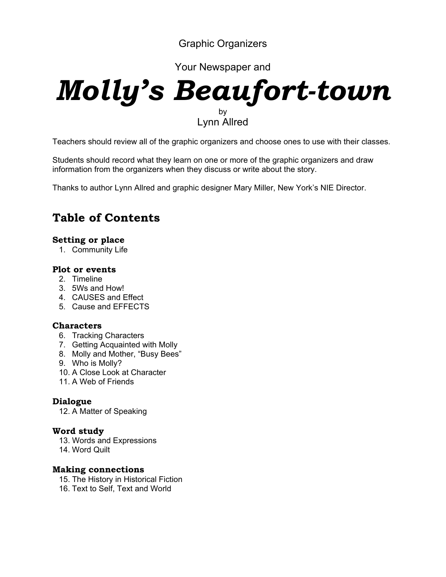Graphic Organizers

Your Newspaper and

# *Molly's Beaufort-town*  by Lynn Allred

Teachers should review all of the graphic organizers and choose ones to use with their classes.

Students should record what they learn on one or more of the graphic organizers and draw information from the organizers when they discuss or write about the story.

Thanks to author Lynn Allred and graphic designer Mary Miller, New York's NIE Director.

## **Table of Contents**

#### **Setting or place**

1. Community Life

#### **Plot or events**

- 2. Timeline
- 3. 5Ws and How!
- 4. CAUSES and Effect
- 5. Cause and EFFECTS

## **Characters**

- 6. Tracking Characters
- 7. Getting Acquainted with Molly
- 8. Molly and Mother, "Busy Bees"
- 9. Who is Molly?
- 10. A Close Look at Character
- 11. A Web of Friends

#### **Dialogue**

12. A Matter of Speaking

#### **Word study**

- 13. Words and Expressions
- 14. Word Quilt

#### **Making connections**

- 15. The History in Historical Fiction
- 16. Text to Self, Text and World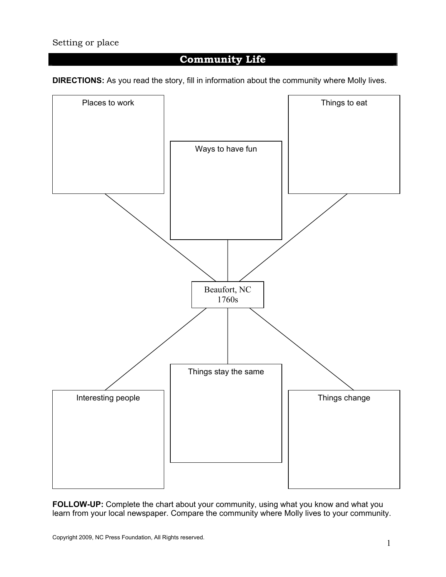## **Community Life**

**DIRECTIONS:** As you read the story, fill in information about the community where Molly lives.



**FOLLOW-UP:** Complete the chart about your community, using what you know and what you learn from your local newspaper. Compare the community where Molly lives to your community.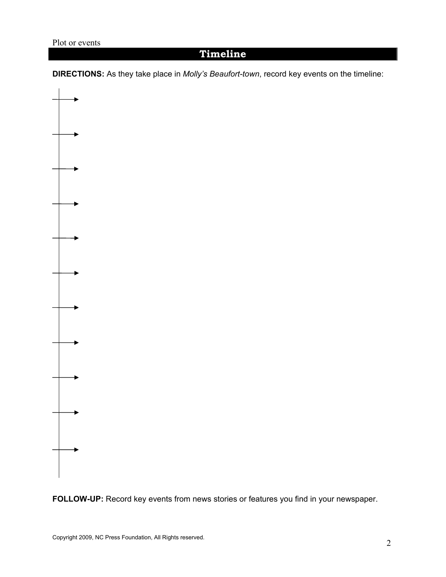## **Timeline**

**DIRECTIONS:** As they take place in *Molly's Beaufort-town*, record key events on the timeline:



**FOLLOW-UP:** Record key events from news stories or features you find in your newspaper.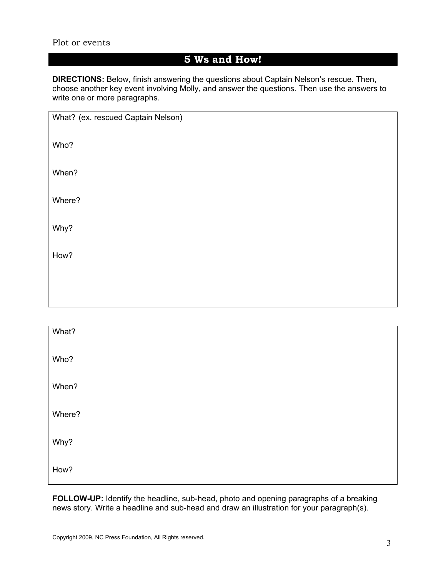#### Plot or events

## **5 Ws and How!**

**DIRECTIONS:** Below, finish answering the questions about Captain Nelson's rescue. Then, choose another key event involving Molly, and answer the questions. Then use the answers to write one or more paragraphs.

| What? (ex. rescued Captain Nelson) |  |
|------------------------------------|--|
| Who?                               |  |
| When?                              |  |
| Where?                             |  |
| Why?                               |  |
| How?                               |  |
|                                    |  |
|                                    |  |

| What?  |  |
|--------|--|
| Who?   |  |
| When?  |  |
| Where? |  |
| Why?   |  |
| How?   |  |

**FOLLOW-UP:** Identify the headline, sub-head, photo and opening paragraphs of a breaking news story. Write a headline and sub-head and draw an illustration for your paragraph(s).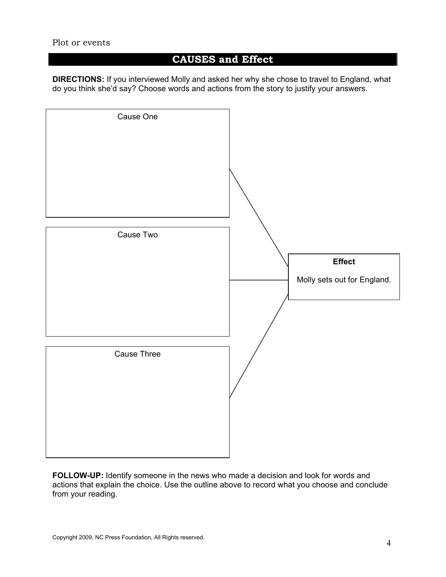## **CAUSES and Effect**

**DIRECTIONS:** If you interviewed Molly and asked her why she chose to travel to England, what do you think she'd say? Choose words and actions from the story to justify your answers.



**FOLLOW-UP:** Identify someone in the news who made a decision and look for words and actions that explain the choice. Use the outline above to record what you choose and conclude from your reading.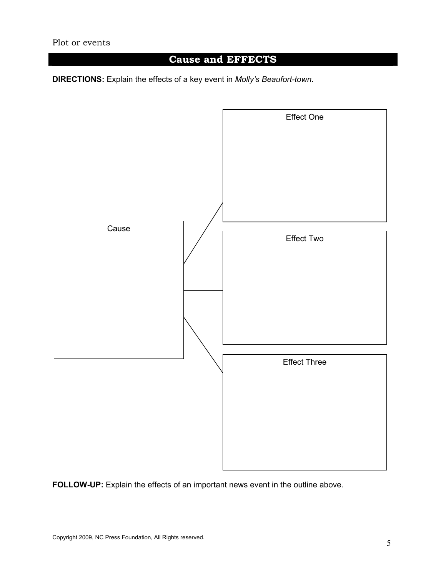## **Cause and EFFECTS**

**DIRECTIONS:** Explain the effects of a key event in *Molly's Beaufort-town*.



**FOLLOW-UP:** Explain the effects of an important news event in the outline above.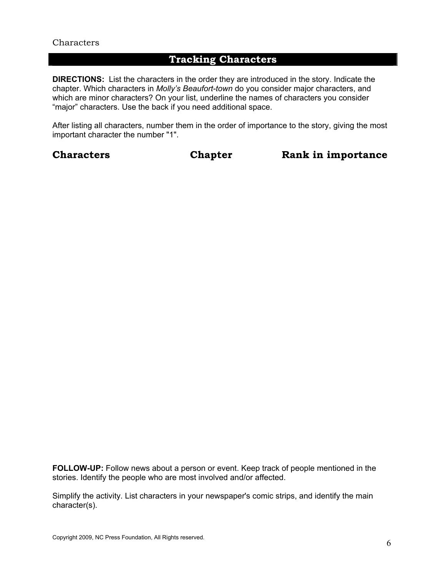## **Tracking Characters**

**DIRECTIONS:** List the characters in the order they are introduced in the story. Indicate the chapter. Which characters in *Molly's Beaufort-town* do you consider major characters, and which are minor characters? On your list, underline the names of characters you consider "major" characters. Use the back if you need additional space.

After listing all characters, number them in the order of importance to the story, giving the most important character the number "1".

**Characters Chapter Rank in importance** 

**FOLLOW-UP:** Follow news about a person or event. Keep track of people mentioned in the stories. Identify the people who are most involved and/or affected.

Simplify the activity. List characters in your newspaper's comic strips, and identify the main character(s).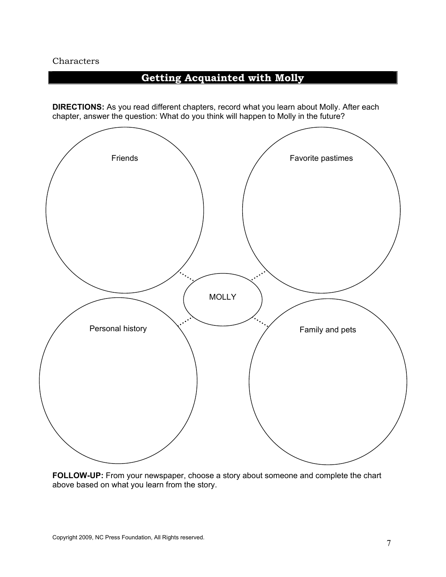## **Getting Acquainted with Molly**

**DIRECTIONS:** As you read different chapters, record what you learn about Molly. After each chapter, answer the question: What do you think will happen to Molly in the future?



**FOLLOW-UP:** From your newspaper, choose a story about someone and complete the chart above based on what you learn from the story.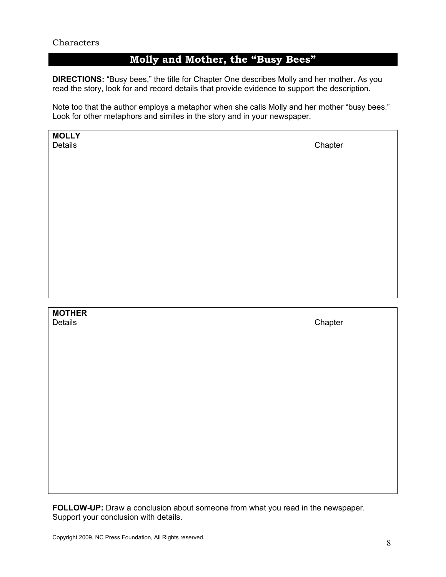## **Molly and Mother, the "Busy Bees"**

**DIRECTIONS:** "Busy bees," the title for Chapter One describes Molly and her mother. As you read the story, look for and record details that provide evidence to support the description.

Note too that the author employs a metaphor when she calls Molly and her mother "busy bees." Look for other metaphors and similes in the story and in your newspaper.

| <b>MOLLY</b><br>Details  | Chapter |
|--------------------------|---------|
| <b>MOTHER</b><br>Details | Chapter |

**FOLLOW-UP:** Draw a conclusion about someone from what you read in the newspaper. Support your conclusion with details.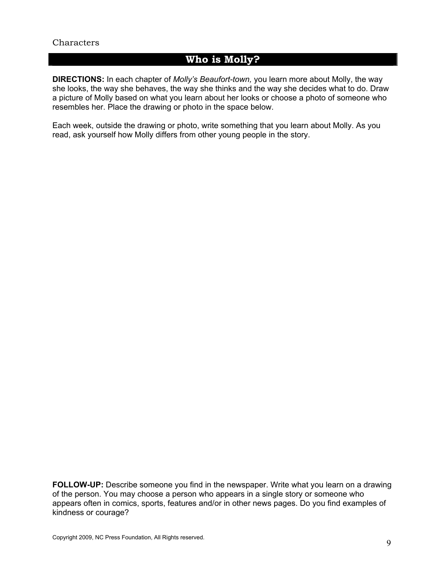## **Who is Molly?**

**DIRECTIONS:** In each chapter of *Molly's Beaufort-town,* you learn more about Molly, the way she looks, the way she behaves, the way she thinks and the way she decides what to do. Draw a picture of Molly based on what you learn about her looks or choose a photo of someone who resembles her. Place the drawing or photo in the space below.

Each week, outside the drawing or photo, write something that you learn about Molly. As you read, ask yourself how Molly differs from other young people in the story.

**FOLLOW-UP:** Describe someone you find in the newspaper. Write what you learn on a drawing of the person. You may choose a person who appears in a single story or someone who appears often in comics, sports, features and/or in other news pages. Do you find examples of kindness or courage?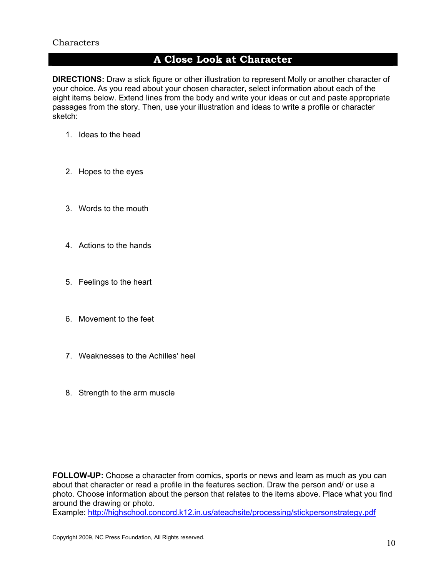## **A Close Look at Character**

**DIRECTIONS:** Draw a stick figure or other illustration to represent Molly or another character of your choice. As you read about your chosen character, select information about each of the eight items below. Extend lines from the body and write your ideas or cut and paste appropriate passages from the story. Then, use your illustration and ideas to write a profile or character sketch:

- 1. Ideas to the head
- 2. Hopes to the eyes
- 3. Words to the mouth
- 4. Actions to the hands
- 5. Feelings to the heart
- 6. Movement to the feet
- 7. Weaknesses to the Achilles' heel
- 8. Strength to the arm muscle

**FOLLOW-UP:** Choose a character from comics, sports or news and learn as much as you can about that character or read a profile in the features section. Draw the person and/ or use a photo. Choose information about the person that relates to the items above. Place what you find around the drawing or photo.

Example: http://highschool.concord.k12.in.us/ateachsite/processing/stickpersonstrategy.pdf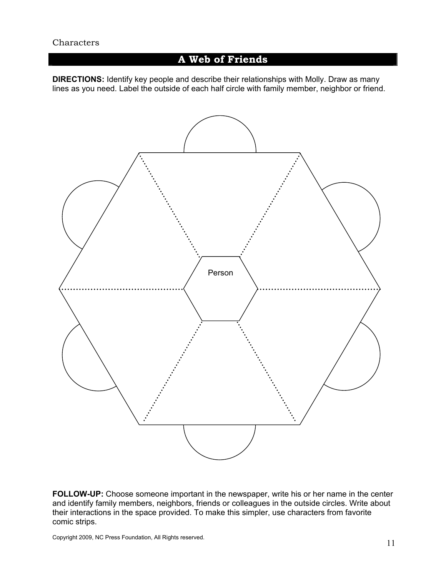## **A Web of Friends**

**DIRECTIONS:** Identify key people and describe their relationships with Molly. Draw as many lines as you need. Label the outside of each half circle with family member, neighbor or friend.



**FOLLOW-UP:** Choose someone important in the newspaper, write his or her name in the center and identify family members, neighbors, friends or colleagues in the outside circles. Write about their interactions in the space provided. To make this simpler, use characters from favorite comic strips.

Copyright 2009, NC Press Foundation, All Rights reserved.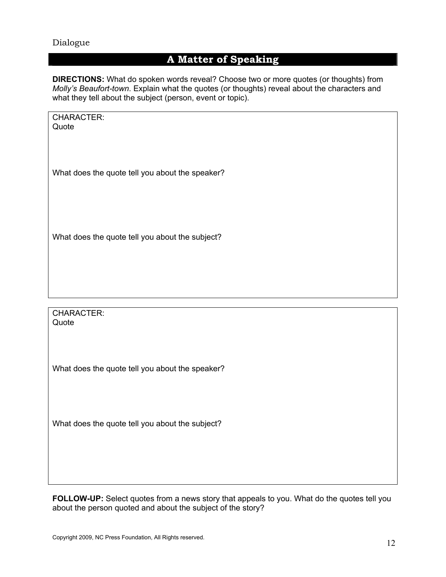#### Dialogue

## **A Matter of Speaking**

**DIRECTIONS:** What do spoken words reveal? Choose two or more quotes (or thoughts) from *Molly's Beaufort-town*. Explain what the quotes (or thoughts) reveal about the characters and what they tell about the subject (person, event or topic).

| CHARACTER:<br>Quote |                                                 |
|---------------------|-------------------------------------------------|
|                     |                                                 |
|                     | What does the quote tell you about the speaker? |

What does the quote tell you about the subject?

CHARACTER: **Quote** 

What does the quote tell you about the speaker?

What does the quote tell you about the subject?

**FOLLOW-UP:** Select quotes from a news story that appeals to you. What do the quotes tell you about the person quoted and about the subject of the story?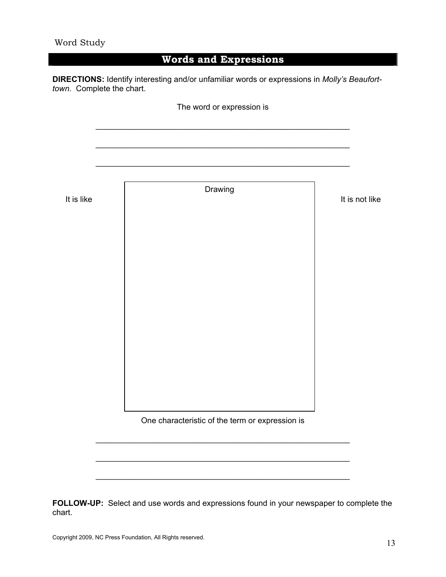## **Words and Expressions**

**DIRECTIONS:** Identify interesting and/or unfamiliar words or expressions in *Molly's Beauforttown.* Complete the chart.

|            | The word or expression is                       |                |
|------------|-------------------------------------------------|----------------|
|            |                                                 |                |
|            |                                                 |                |
| It is like | Drawing                                         | It is not like |
|            |                                                 |                |
|            |                                                 |                |
|            |                                                 |                |
|            |                                                 |                |
|            |                                                 |                |
|            |                                                 |                |
|            |                                                 |                |
|            |                                                 |                |
|            | One characteristic of the term or expression is |                |
|            |                                                 |                |
|            |                                                 |                |
|            |                                                 |                |

**FOLLOW-UP:** Select and use words and expressions found in your newspaper to complete the chart.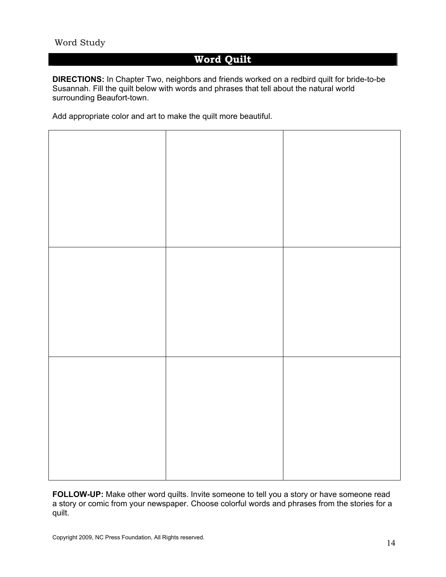#### Word Study

## **Word Quilt**

**DIRECTIONS:** In Chapter Two, neighbors and friends worked on a redbird quilt for bride-to-be Susannah. Fill the quilt below with words and phrases that tell about the natural world surrounding Beaufort-town.

Add appropriate color and art to make the quilt more beautiful.



**FOLLOW-UP:** Make other word quilts. Invite someone to tell you a story or have someone read a story or comic from your newspaper. Choose colorful words and phrases from the stories for a quilt.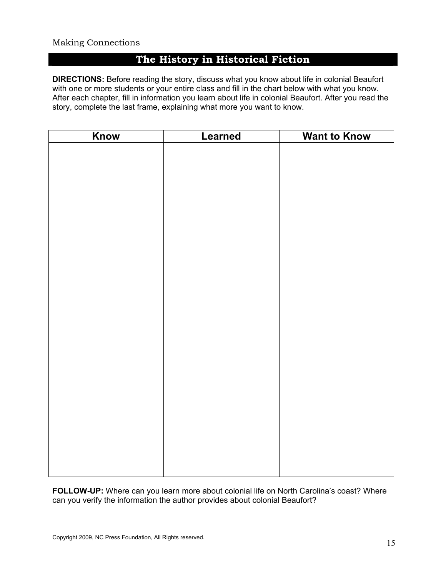#### Making Connections

## **The History in Historical Fiction**

**DIRECTIONS:** Before reading the story, discuss what you know about life in colonial Beaufort with one or more students or your entire class and fill in the chart below with what you know. After each chapter, fill in information you learn about life in colonial Beaufort. After you read the story, complete the last frame, explaining what more you want to know.

| Know | Learned | <b>Want to Know</b> |
|------|---------|---------------------|
|      |         |                     |
|      |         |                     |
|      |         |                     |
|      |         |                     |
|      |         |                     |
|      |         |                     |
|      |         |                     |
|      |         |                     |
|      |         |                     |
|      |         |                     |
|      |         |                     |
|      |         |                     |
|      |         |                     |
|      |         |                     |
|      |         |                     |
|      |         |                     |
|      |         |                     |
|      |         |                     |
|      |         |                     |
|      |         |                     |
|      |         |                     |
|      |         |                     |
|      |         |                     |
|      |         |                     |
|      |         |                     |

**FOLLOW-UP:** Where can you learn more about colonial life on North Carolina's coast? Where can you verify the information the author provides about colonial Beaufort?